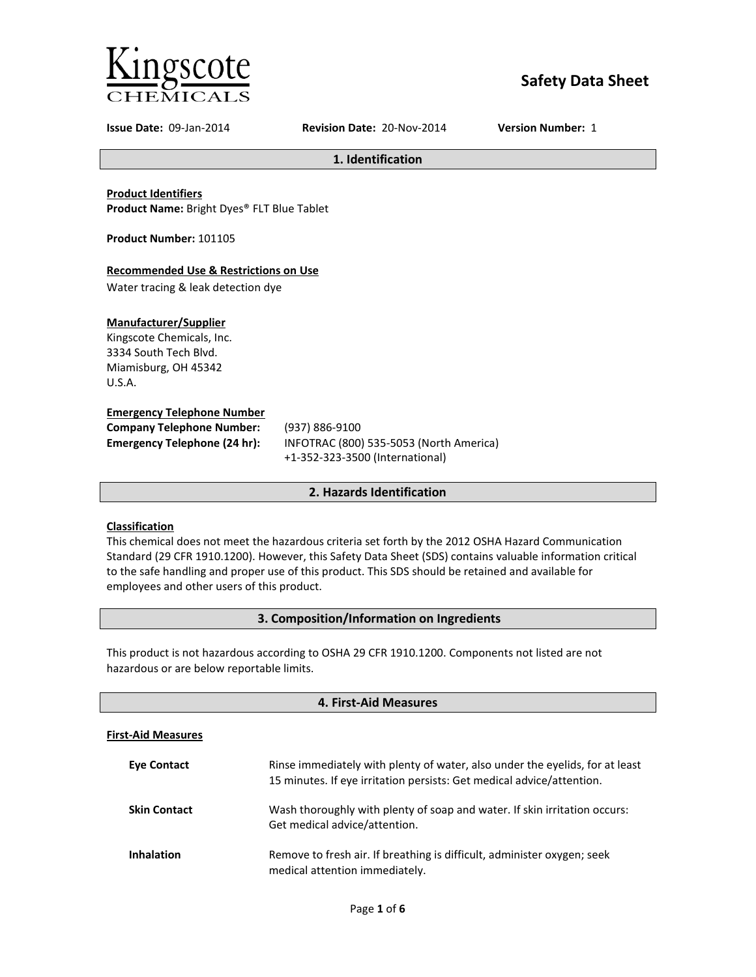

# **Safety Data Sheet**

**Issue Date:** 09-Jan-2014 **Revision Date:** 20-Nov-2014 **Version Number:** 1

**1. Identification**

**Product Identifiers**

**Product Name:** Bright Dyes® FLT Blue Tablet

**Product Number:** 101105

## **Recommended Use & Restrictions on Use**

Water tracing & leak detection dye

## **Manufacturer/Supplier**

Kingscote Chemicals, Inc. 3334 South Tech Blvd. Miamisburg, OH 45342 U.S.A.

## **Emergency Telephone Number**

| <b>Company Telephone Number:</b> | (9) |
|----------------------------------|-----|
| Emergency Telephone (24 hr):     | ΙN  |
|                                  |     |

**Company Telephone Number:** (937) 886-9100 **Emergency Telephone (24 hr):** INFOTRAC (800) 535-5053 (North America) +1-352-323-3500 (International)

## **2. Hazards Identification**

## **Classification**

This chemical does not meet the hazardous criteria set forth by the 2012 OSHA Hazard Communication Standard (29 CFR 1910.1200). However, this Safety Data Sheet (SDS) contains valuable information critical to the safe handling and proper use of this product. This SDS should be retained and available for employees and other users of this product.

## **3. Composition/Information on Ingredients**

This product is not hazardous according to OSHA 29 CFR 1910.1200. Components not listed are not hazardous or are below reportable limits.

| 4. First-Aid Measures     |                                                                                                                                                       |
|---------------------------|-------------------------------------------------------------------------------------------------------------------------------------------------------|
| <b>First-Aid Measures</b> |                                                                                                                                                       |
| <b>Eve Contact</b>        | Rinse immediately with plenty of water, also under the eyelids, for at least<br>15 minutes. If eye irritation persists: Get medical advice/attention. |
| <b>Skin Contact</b>       | Wash thoroughly with plenty of soap and water. If skin irritation occurs:<br>Get medical advice/attention.                                            |
| <b>Inhalation</b>         | Remove to fresh air. If breathing is difficult, administer oxygen; seek<br>medical attention immediately.                                             |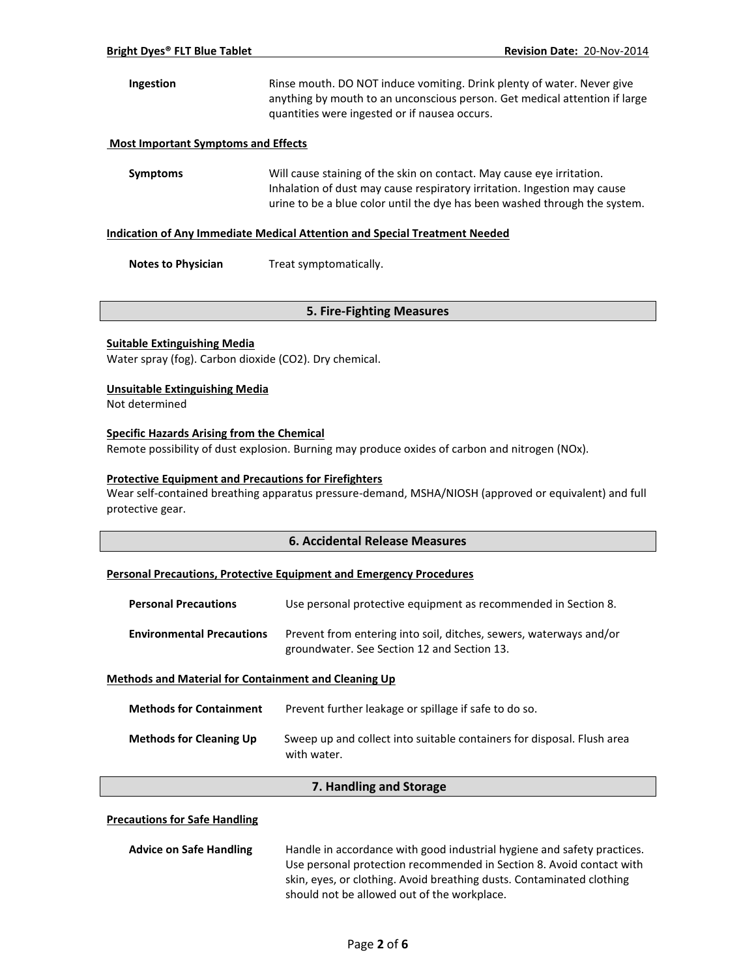## **Ingestion** Rinse mouth. DO NOT induce vomiting. Drink plenty of water. Never give anything by mouth to an unconscious person. Get medical attention if large quantities were ingested or if nausea occurs.

## **Most Important Symptoms and Effects**

**Symptoms** Will cause staining of the skin on contact. May cause eye irritation. Inhalation of dust may cause respiratory irritation. Ingestion may cause urine to be a blue color until the dye has been washed through the system.

### **Indication of Any Immediate Medical Attention and Special Treatment Needed**

**Notes to Physician** Treat symptomatically.

## **5. Fire-Fighting Measures**

## **Suitable Extinguishing Media**

Water spray (fog). Carbon dioxide (CO2). Dry chemical.

## **Unsuitable Extinguishing Media**

Not determined

## **Specific Hazards Arising from the Chemical**

Remote possibility of dust explosion. Burning may produce oxides of carbon and nitrogen (NOx).

## **Protective Equipment and Precautions for Firefighters**

Wear self-contained breathing apparatus pressure-demand, MSHA/NIOSH (approved or equivalent) and full protective gear.

## **6. Accidental Release Measures**

### **Personal Precautions, Protective Equipment and Emergency Procedures**

| <b>Personal Precautions</b>      | Use personal protective equipment as recommended in Section 8.                                                    |
|----------------------------------|-------------------------------------------------------------------------------------------------------------------|
| <b>Environmental Precautions</b> | Prevent from entering into soil, ditches, sewers, waterways and/or<br>groundwater. See Section 12 and Section 13. |

### **Methods and Material for Containment and Cleaning Up**

| <b>Methods for Containment</b> | Prevent further leakage or spillage if safe to do so.                                 |
|--------------------------------|---------------------------------------------------------------------------------------|
| <b>Methods for Cleaning Up</b> | Sweep up and collect into suitable containers for disposal. Flush area<br>with water. |

## **7. Handling and Storage**

### **Precautions for Safe Handling**

| <b>Advice on Safe Handling</b> | Handle in accordance with good industrial hygiene and safety practices. |
|--------------------------------|-------------------------------------------------------------------------|
|                                | Use personal protection recommended in Section 8. Avoid contact with    |
|                                | skin, eyes, or clothing. Avoid breathing dusts. Contaminated clothing   |
|                                | should not be allowed out of the workplace.                             |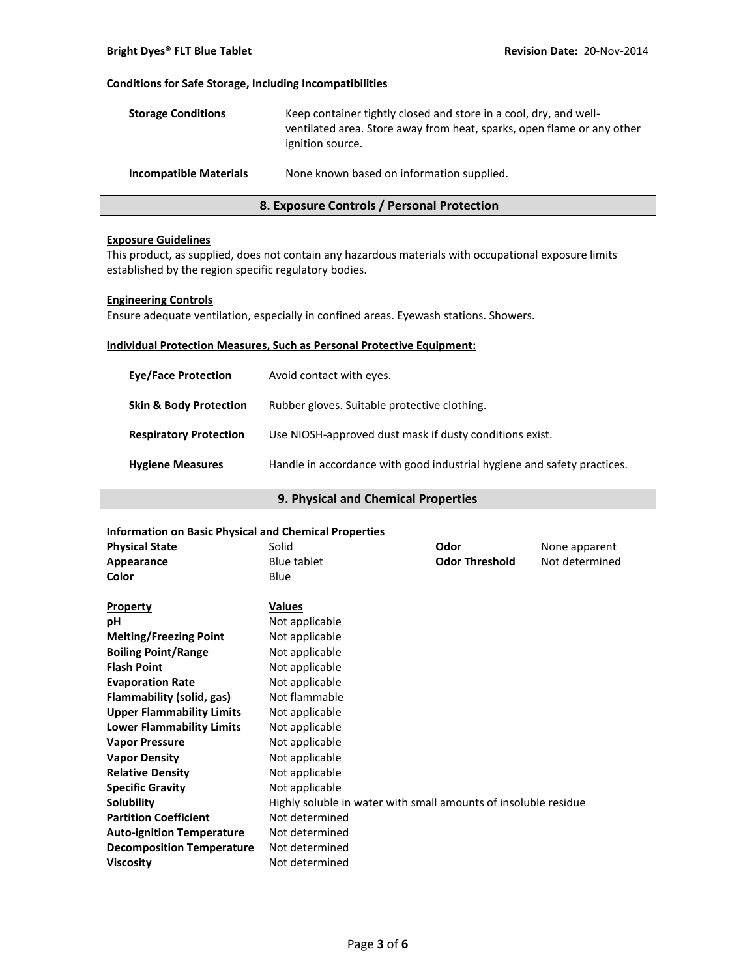## **Conditions for Safe Storage, Including Incompatibilities**

| <b>Storage Conditions</b>     | Keep container tightly closed and store in a cool, dry, and well-<br>ventilated area. Store away from heat, sparks, open flame or any other<br>ignition source. |
|-------------------------------|-----------------------------------------------------------------------------------------------------------------------------------------------------------------|
| <b>Incompatible Materials</b> | None known based on information supplied.                                                                                                                       |

## **8. Exposure Controls / Personal Protection**

#### **Exposure Guidelines**

This product, as supplied, does not contain any hazardous materials with occupational exposure limits established by the region specific regulatory bodies.

## **Engineering Controls**

Ensure adequate ventilation, especially in confined areas. Eyewash stations. Showers.

## **Individual Protection Measures, Such as Personal Protective Equipment:**

| <b>Eve/Face Protection</b>        | Avoid contact with eyes.                                                |
|-----------------------------------|-------------------------------------------------------------------------|
| <b>Skin &amp; Body Protection</b> | Rubber gloves. Suitable protective clothing.                            |
| <b>Respiratory Protection</b>     | Use NIOSH-approved dust mask if dusty conditions exist.                 |
| <b>Hygiene Measures</b>           | Handle in accordance with good industrial hygiene and safety practices. |

## **9. Physical and Chemical Properties**

| <b>Information on Basic Physical and Chemical Properties</b> |                                                                 |                       |                |
|--------------------------------------------------------------|-----------------------------------------------------------------|-----------------------|----------------|
| <b>Physical State</b>                                        | Solid                                                           | Odor                  | None apparent  |
| Appearance                                                   | Blue tablet                                                     | <b>Odor Threshold</b> | Not determined |
| Color                                                        | Blue                                                            |                       |                |
| <b>Property</b>                                              | <b>Values</b>                                                   |                       |                |
| рH                                                           | Not applicable                                                  |                       |                |
| <b>Melting/Freezing Point</b>                                | Not applicable                                                  |                       |                |
| <b>Boiling Point/Range</b>                                   | Not applicable                                                  |                       |                |
| <b>Flash Point</b>                                           | Not applicable                                                  |                       |                |
| <b>Evaporation Rate</b>                                      | Not applicable                                                  |                       |                |
| Flammability (solid, gas)                                    | Not flammable                                                   |                       |                |
| <b>Upper Flammability Limits</b>                             | Not applicable                                                  |                       |                |
| <b>Lower Flammability Limits</b>                             | Not applicable                                                  |                       |                |
| <b>Vapor Pressure</b>                                        | Not applicable                                                  |                       |                |
| <b>Vapor Density</b>                                         | Not applicable                                                  |                       |                |
| <b>Relative Density</b>                                      | Not applicable                                                  |                       |                |
| <b>Specific Gravity</b>                                      | Not applicable                                                  |                       |                |
| Solubility                                                   | Highly soluble in water with small amounts of insoluble residue |                       |                |
| <b>Partition Coefficient</b>                                 | Not determined                                                  |                       |                |
| <b>Auto-ignition Temperature</b>                             | Not determined                                                  |                       |                |
| <b>Decomposition Temperature</b>                             | Not determined                                                  |                       |                |
| <b>Viscosity</b>                                             | Not determined                                                  |                       |                |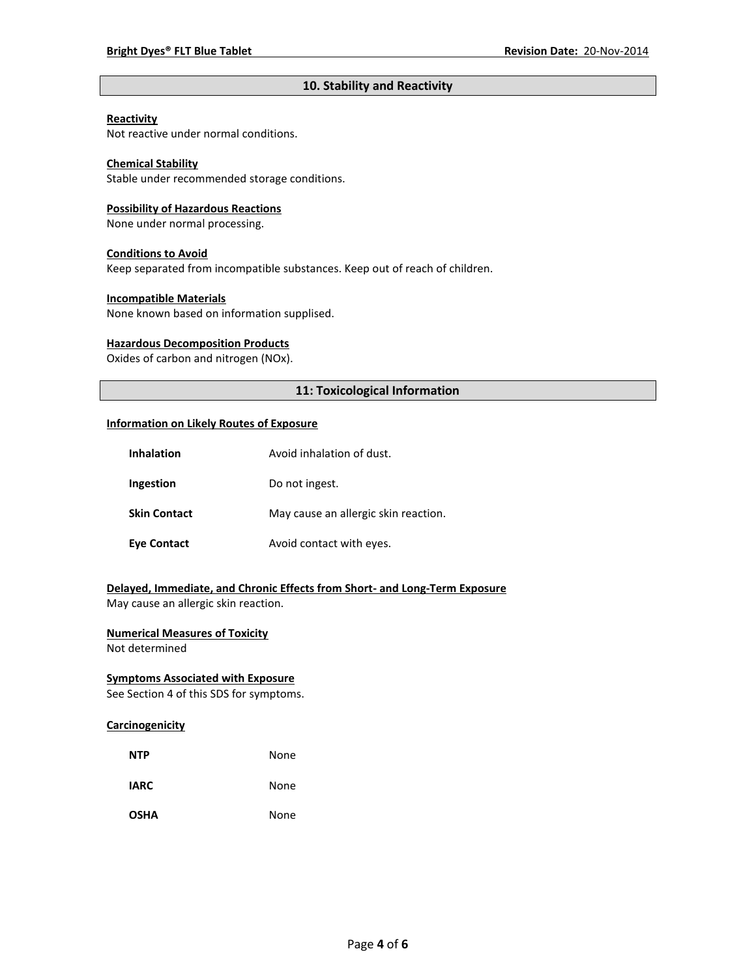## **10. Stability and Reactivity**

#### **Reactivity**

Not reactive under normal conditions.

## **Chemical Stability**

Stable under recommended storage conditions.

#### **Possibility of Hazardous Reactions**

None under normal processing.

#### **Conditions to Avoid**

Keep separated from incompatible substances. Keep out of reach of children.

#### **Incompatible Materials**

None known based on information supplised.

### **Hazardous Decomposition Products**

Oxides of carbon and nitrogen (NOx).

## **11: Toxicological Information**

#### **Information on Likely Routes of Exposure**

| <b>Inhalation</b>   | Avoid inhalation of dust.            |
|---------------------|--------------------------------------|
| Ingestion           | Do not ingest.                       |
| <b>Skin Contact</b> | May cause an allergic skin reaction. |
| <b>Eye Contact</b>  | Avoid contact with eyes.             |

## **Delayed, Immediate, and Chronic Effects from Short- and Long-Term Exposure**

May cause an allergic skin reaction.

## **Numerical Measures of Toxicity**

Not determined

## **Symptoms Associated with Exposure**

See Section 4 of this SDS for symptoms.

## **Carcinogenicity**

| <b>NTP</b>  | None |
|-------------|------|
| <b>IARC</b> | None |
| <b>OSHA</b> | None |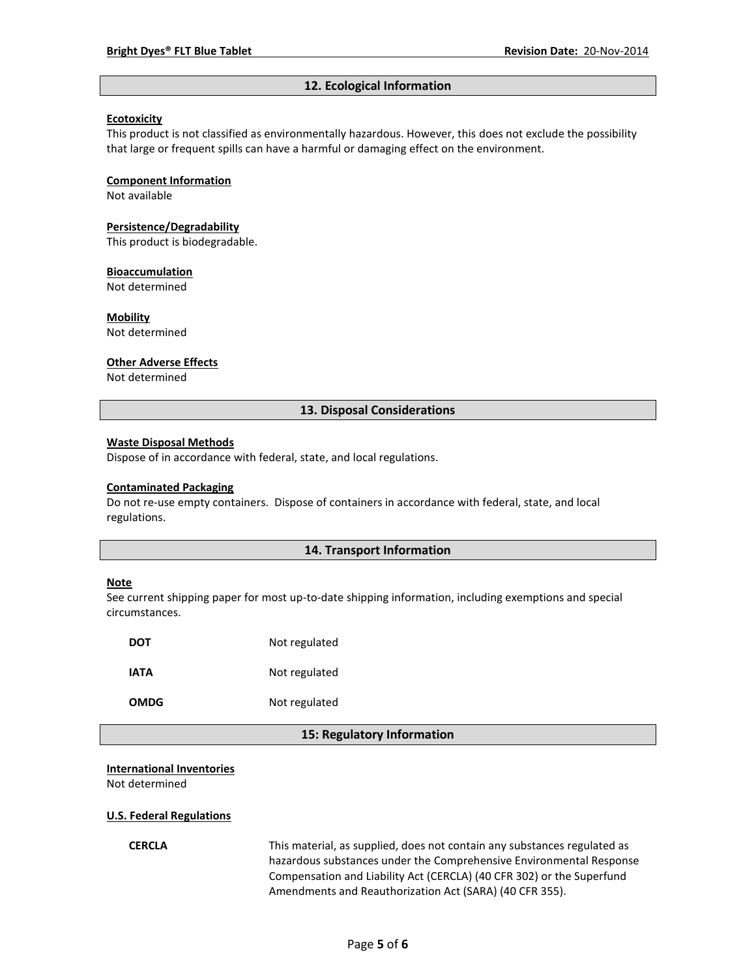#### **12. Ecological Information**

### **Ecotoxicity**

This product is not classified as environmentally hazardous. However, this does not exclude the possibility that large or frequent spills can have a harmful or damaging effect on the environment.

#### **Component Information**

Not available

## **Persistence/Degradability**

This product is biodegradable.

#### **Bioaccumulation**

Not determined

## **Mobility**

Not determined

#### **Other Adverse Effects**

Not determined

### **13. Disposal Considerations**

#### **Waste Disposal Methods**

Dispose of in accordance with federal, state, and local regulations.

#### **Contaminated Packaging**

Do not re-use empty containers.Dispose of containers in accordance with federal, state, and local regulations.

#### **14. Transport Information**

#### **Note**

See current shipping paper for most up-to-date shipping information, including exemptions and special circumstances.

| DOT  | Not regulated |
|------|---------------|
| IATA | Not regulated |
| OMDG | Not regulated |

#### **15: Regulatory Information**

#### **International Inventories**

Not determined

#### **U.S. Federal Regulations**

**CERCLA** This material, as supplied, does not contain any substances regulated as hazardous substances under the Comprehensive Environmental Response Compensation and Liability Act (CERCLA) (40 CFR 302) or the Superfund Amendments and Reauthorization Act (SARA) (40 CFR 355).